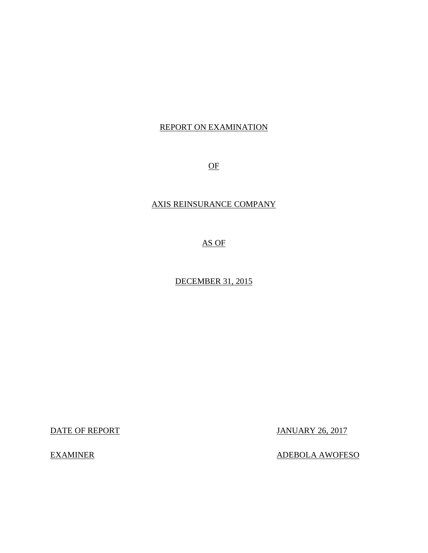# REPORT ON EXAMINATION

OF

# AXIS REINSURANCE COMPANY

AS OF

DECEMBER 31, 2015

DATE OF REPORT JANUARY 26, 2017

EXAMINER ADEBOLA AWOFESO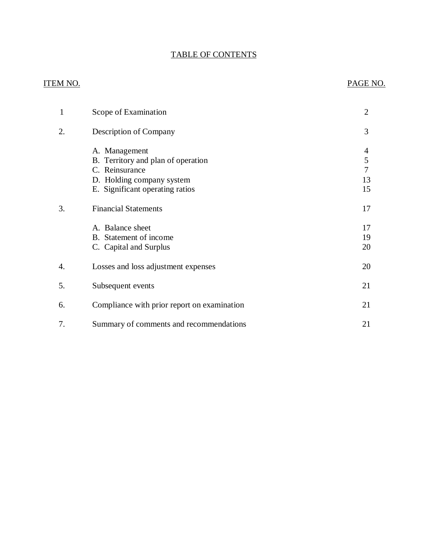# TABLE OF CONTENTS

# ITEM NO. PAGE NO.

| 1  | Scope of Examination                                                                                                                  | $\overline{2}$          |
|----|---------------------------------------------------------------------------------------------------------------------------------------|-------------------------|
| 2. | Description of Company                                                                                                                | 3                       |
|    | A. Management<br>B. Territory and plan of operation<br>C. Reinsurance<br>D. Holding company system<br>E. Significant operating ratios | 4<br>5<br>7<br>13<br>15 |
| 3. | <b>Financial Statements</b>                                                                                                           | 17                      |
|    | A. Balance sheet<br>B. Statement of income<br>C. Capital and Surplus                                                                  | 17<br>19<br>20          |
| 4. | Losses and loss adjustment expenses                                                                                                   | 20                      |
| 5. | Subsequent events                                                                                                                     | 21                      |
| 6. | Compliance with prior report on examination                                                                                           | 21                      |
| 7. | Summary of comments and recommendations                                                                                               | 21                      |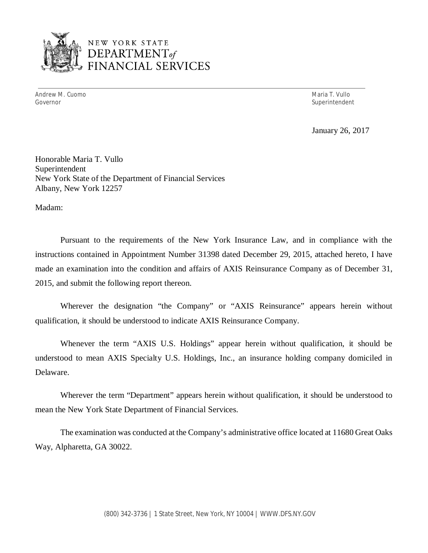

# NEW YORK STATE *DEPARTMENTof*  FINANCIAL SERVICES

Andrew M. Cuomo **Maria T. Vullo** Maria T. Vullo Governor Superintendent Superintendent Superintendent Superintendent Superintendent Superintendent Superintendent

January 26, 2017

Honorable Maria T. Vullo Superintendent New York State of the Department of Financial Services Albany, New York 12257

Madam:

Pursuant to the requirements of the New York Insurance Law, and in compliance with the instructions contained in Appointment Number 31398 dated December 29, 2015, attached hereto, I have made an examination into the condition and affairs of AXIS Reinsurance Company as of December 31, 2015, and submit the following report thereon.

Wherever the designation "the Company" or "AXIS Reinsurance" appears herein without qualification, it should be understood to indicate AXIS Reinsurance Company.

Whenever the term "AXIS U.S. Holdings" appear herein without qualification, it should be understood to mean AXIS Specialty U.S. Holdings, Inc., an insurance holding company domiciled in Delaware.

Wherever the term "Department" appears herein without qualification, it should be understood to mean the New York State Department of Financial Services.

The examination was conducted at the Company's administrative office located at 11680 Great Oaks Way, Alpharetta, GA 30022.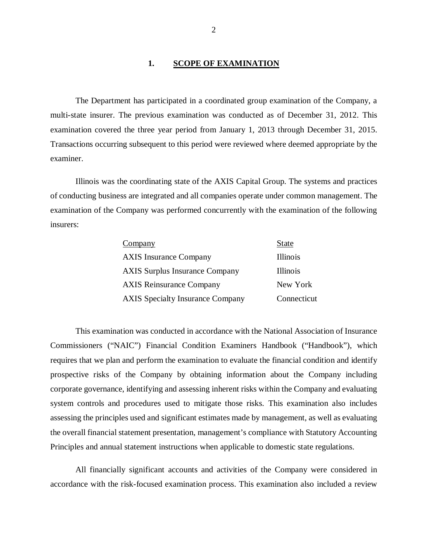#### 1. SCOPE OF EXAMINATION

The Department has participated in a coordinated group examination of the Company, a multi-state insurer. The previous examination was conducted as of December 31, 2012. This examination covered the three year period from January 1, 2013 through December 31, 2015. Transactions occurring subsequent to this period were reviewed where deemed appropriate by the examiner.

Illinois was the coordinating state of the AXIS Capital Group. The systems and practices of conducting business are integrated and all companies operate under common management. The examination of the Company was performed concurrently with the examination of the following insurers:

| Company                                 | <b>State</b> |
|-----------------------------------------|--------------|
| <b>AXIS</b> Insurance Company           | Illinois     |
| <b>AXIS Surplus Insurance Company</b>   | Illinois     |
| <b>AXIS Reinsurance Company</b>         | New York     |
| <b>AXIS Specialty Insurance Company</b> | Connecticut  |

This examination was conducted in accordance with the National Association of Insurance Commissioners ("NAIC") Financial Condition Examiners Handbook ("Handbook"), which requires that we plan and perform the examination to evaluate the financial condition and identify prospective risks of the Company by obtaining information about the Company including corporate governance, identifying and assessing inherent risks within the Company and evaluating system controls and procedures used to mitigate those risks. This examination also includes assessing the principles used and significant estimates made by management, as well as evaluating the overall financial statement presentation, management's compliance with Statutory Accounting Principles and annual statement instructions when applicable to domestic state regulations.

All financially significant accounts and activities of the Company were considered in accordance with the risk-focused examination process. This examination also included a review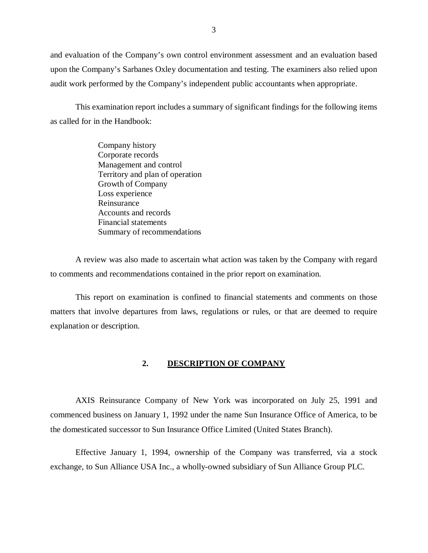<span id="page-4-0"></span>and evaluation of the Company's own control environment assessment and an evaluation based upon the Company's Sarbanes Oxley documentation and testing. The examiners also relied upon audit work performed by the Company's independent public accountants when appropriate.

This examination report includes a summary of significant findings for the following items as called for in the Handbook:

> Company history Corporate records Management and control Territory and plan of operation Growth of Company Loss experience Reinsurance Accounts and records Financial statements Summary of recommendations

A review was also made to ascertain what action was taken by the Company with regard to comments and recommendations contained in the prior report on examination.

This report on examination is confined to financial statements and comments on those matters that involve departures from laws, regulations or rules, or that are deemed to require explanation or description.

#### **2. DESCRIPTION OF COMPANY**

AXIS Reinsurance Company of New York was incorporated on July 25, 1991 and commenced business on January 1, 1992 under the name Sun Insurance Office of America, to be the domesticated successor to Sun Insurance Office Limited (United States Branch).

Effective January 1, 1994, ownership of the Company was transferred, via a stock exchange, to Sun Alliance USA Inc., a wholly-owned subsidiary of Sun Alliance Group PLC.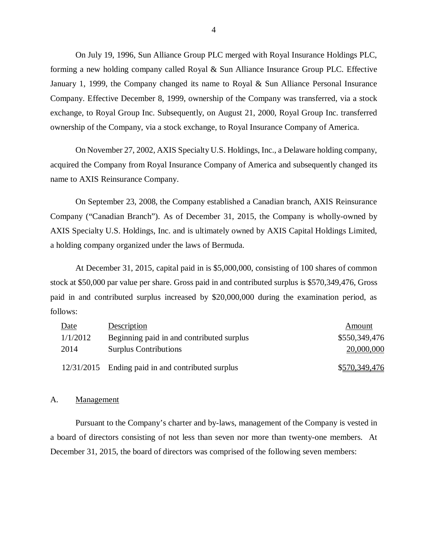On July 19, 1996, Sun Alliance Group PLC merged with Royal Insurance Holdings PLC, forming a new holding company called Royal & Sun Alliance Insurance Group PLC. Effective January 1, 1999, the Company changed its name to Royal & Sun Alliance Personal Insurance Company. Effective December 8, 1999, ownership of the Company was transferred, via a stock exchange, to Royal Group Inc. Subsequently, on August 21, 2000, Royal Group Inc. transferred ownership of the Company, via a stock exchange, to Royal Insurance Company of America.

On November 27, 2002, AXIS Specialty U.S. Holdings, Inc., a Delaware holding company, acquired the Company from Royal Insurance Company of America and subsequently changed its name to AXIS Reinsurance Company.

On September 23, 2008, the Company established a Canadian branch, AXIS Reinsurance Company ("Canadian Branch"). As of December 31, 2015, the Company is wholly-owned by AXIS Specialty U.S. Holdings, Inc. and is ultimately owned by AXIS Capital Holdings Limited, a holding company organized under the laws of Bermuda.

At December 31, 2015, capital paid in is \$5,000,000, consisting of 100 shares of common stock at \$50,000 par value per share. Gross paid in and contributed surplus is \$570,349,476, Gross paid in and contributed surplus increased by \$20,000,000 during the examination period, as follows:

| Date     | Description                                       | Amount        |
|----------|---------------------------------------------------|---------------|
| 1/1/2012 | Beginning paid in and contributed surplus         | \$550,349,476 |
| 2014     | <b>Surplus Contributions</b>                      | 20,000,000    |
|          | 12/31/2015 Ending paid in and contributed surplus | \$570,349,476 |

#### A. Management

Pursuant to the Company's charter and by-laws, management of the Company is vested in a board of directors consisting of not less than seven nor more than twenty-one members. At December 31, 2015, the board of directors was comprised of the following seven members: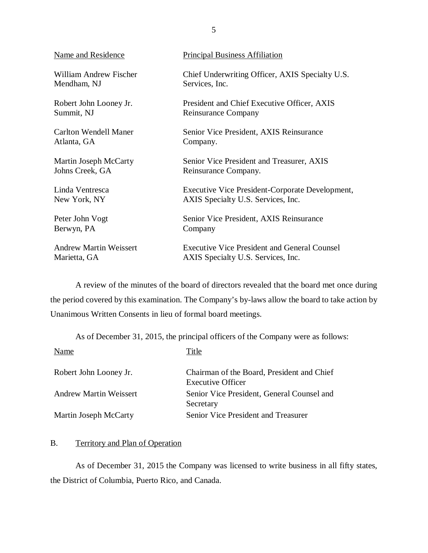| Name and Residence            | <b>Principal Business Affiliation</b>               |
|-------------------------------|-----------------------------------------------------|
| <b>William Andrew Fischer</b> | Chief Underwriting Officer, AXIS Specialty U.S.     |
| Mendham, NJ                   | Services, Inc.                                      |
| Robert John Looney Jr.        | President and Chief Executive Officer, AXIS         |
| Summit, NJ                    | Reinsurance Company                                 |
| <b>Carlton Wendell Maner</b>  | Senior Vice President, AXIS Reinsurance             |
| Atlanta, GA                   | Company.                                            |
| Martin Joseph McCarty         | Senior Vice President and Treasurer, AXIS           |
| Johns Creek, GA               | Reinsurance Company.                                |
| Linda Ventresca               | Executive Vice President-Corporate Development,     |
| New York, NY                  | AXIS Specialty U.S. Services, Inc.                  |
| Peter John Vogt               | Senior Vice President, AXIS Reinsurance             |
| Berwyn, PA                    | Company                                             |
| <b>Andrew Martin Weissert</b> | <b>Executive Vice President and General Counsel</b> |
| Marietta, GA                  | AXIS Specialty U.S. Services, Inc.                  |

A review of the minutes of the board of directors revealed that the board met once during the period covered by this examination. The Company's by-laws allow the board to take action by Unanimous Written Consents in lieu of formal board meetings.

As of December 31, 2015, the principal officers of the Company were as follows:

| Name                   | Title                                                                  |
|------------------------|------------------------------------------------------------------------|
| Robert John Looney Jr. | Chairman of the Board, President and Chief<br><b>Executive Officer</b> |
| Andrew Martin Weissert | Senior Vice President, General Counsel and<br>Secretary                |
| Martin Joseph McCarty  | Senior Vice President and Treasurer                                    |

### B. Territory and Plan of Operation

As of December 31, 2015 the Company was licensed to write business in all fifty states, the District of Columbia, Puerto Rico, and Canada.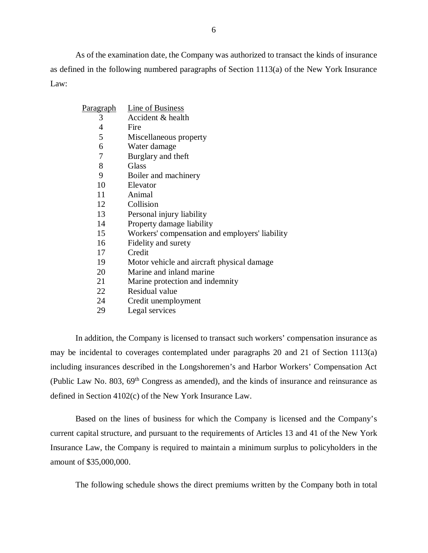As of the examination date, the Company was authorized to transact the kinds of insurance as defined in the following numbered paragraphs of Section 1113(a) of the New York Insurance Law:

| <u>Paragraph</u> | Line of Business                               |
|------------------|------------------------------------------------|
| 3                | Accident & health                              |
| 4                | Fire                                           |
| 5                | Miscellaneous property                         |
| 6                | Water damage                                   |
| 7                | Burglary and theft                             |
| 8                | Glass                                          |
| 9                | Boiler and machinery                           |
| 10               | Elevator                                       |
| 11               | Animal                                         |
| 12               | Collision                                      |
| 13               | Personal injury liability                      |
| 14               | Property damage liability                      |
| 15               | Workers' compensation and employers' liability |
| 16               | Fidelity and surety                            |
| 17               | Credit                                         |
| 19               | Motor vehicle and aircraft physical damage     |
| 20               | Marine and inland marine                       |
| 21               | Marine protection and indemnity                |
| 22               | Residual value                                 |
| 24               | Credit unemployment                            |

29 Legal services

In addition, the Company is licensed to transact such workers' compensation insurance as may be incidental to coverages contemplated under paragraphs 20 and 21 of Section 1113(a) including insurances described in the Longshoremen's and Harbor Workers' Compensation Act (Public Law No. 803,  $69<sup>th</sup>$  Congress as amended), and the kinds of insurance and reinsurance as defined in Section 4102(c) of the New York Insurance Law.

Based on the lines of business for which the Company is licensed and the Company's current capital structure, and pursuant to the requirements of Articles 13 and 41 of the New York Insurance Law, the Company is required to maintain a minimum surplus to policyholders in the amount of \$35,000,000.

The following schedule shows the direct premiums written by the Company both in total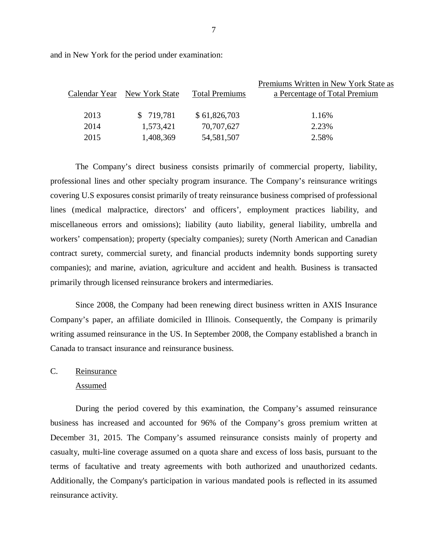and in New York for the period under examination:

|      |                              |                       | Premiums Written in New York State as |
|------|------------------------------|-----------------------|---------------------------------------|
|      | Calendar Year New York State | <b>Total Premiums</b> | a Percentage of Total Premium         |
|      |                              |                       |                                       |
| 2013 | \$719,781                    | \$61,826,703          | 1.16%                                 |
| 2014 | 1,573,421                    | 70,707,627            | 2.23%                                 |
| 2015 | 1,408,369                    | 54, 581, 507          | 2.58%                                 |
|      |                              |                       |                                       |

The Company's direct business consists primarily of commercial property, liability, professional lines and other specialty program insurance. The Company's reinsurance writings covering U.S exposures consist primarily of treaty reinsurance business comprised of professional lines (medical malpractice, directors' and officers', employment practices liability, and miscellaneous errors and omissions); liability (auto liability, general liability, umbrella and workers' compensation); property (specialty companies); surety (North American and Canadian contract surety, commercial surety, and financial products indemnity bonds supporting surety companies); and marine, aviation, agriculture and accident and health. Business is transacted primarily through licensed reinsurance brokers and intermediaries.

Since 2008, the Company had been renewing direct business written in AXIS Insurance Company's paper, an affiliate domiciled in Illinois. Consequently, the Company is primarily writing assumed reinsurance in the US. In September 2008, the Company established a branch in Canada to transact insurance and reinsurance business.

#### C. Reinsurance

#### Assumed

During the period covered by this examination, the Company's assumed reinsurance business has increased and accounted for 96% of the Company's gross premium written at December 31, 2015. The Company's assumed reinsurance consists mainly of property and casualty, multi-line coverage assumed on a quota share and excess of loss basis, pursuant to the terms of facultative and treaty agreements with both authorized and unauthorized cedants. Additionally, the Company's participation in various mandated pools is reflected in its assumed reinsurance activity.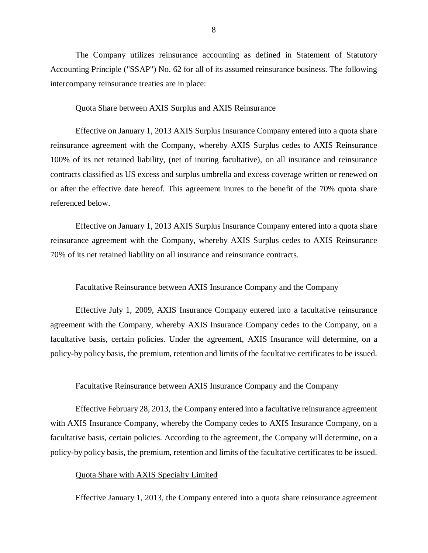The Company utilizes reinsurance accounting as defined in Statement of Statutory Accounting Principle ("SSAP") No. 62 for all of its assumed reinsurance business. The following intercompany reinsurance treaties are in place:

#### Quota Share between AXIS Surplus and AXIS Reinsurance

Effective on January 1, 2013 AXIS Surplus Insurance Company entered into a quota share reinsurance agreement with the Company, whereby AXIS Surplus cedes to AXIS Reinsurance 100% of its net retained liability, (net of inuring facultative), on all insurance and reinsurance contracts classified as US excess and surplus umbrella and excess coverage written or renewed on or after the effective date hereof. This agreement inures to the benefit of the 70% quota share referenced below.

Effective on January 1, 2013 AXIS Surplus Insurance Company entered into a quota share reinsurance agreement with the Company, whereby AXIS Surplus cedes to AXIS Reinsurance 70% of its net retained liability on all insurance and reinsurance contracts.

#### Facultative Reinsurance between AXIS Insurance Company and the Company

Effective July 1, 2009, AXIS Insurance Company entered into a facultative reinsurance agreement with the Company, whereby AXIS Insurance Company cedes to the Company, on a facultative basis, certain policies. Under the agreement, AXIS Insurance will determine, on a policy-by policy basis, the premium, retention and limits of the facultative certificates to be issued.

#### Facultative Reinsurance between AXIS Insurance Company and the Company

Effective February 28, 2013, the Company entered into a facultative reinsurance agreement with AXIS Insurance Company, whereby the Company cedes to AXIS Insurance Company, on a facultative basis, certain policies. According to the agreement, the Company will determine, on a policy-by policy basis, the premium, retention and limits of the facultative certificates to be issued.

#### Quota Share with AXIS Specialty Limited

Effective January 1, 2013, the Company entered into a quota share reinsurance agreement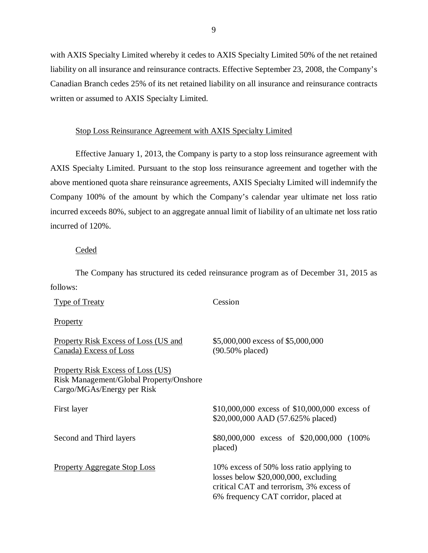with AXIS Specialty Limited whereby it cedes to AXIS Specialty Limited 50% of the net retained liability on all insurance and reinsurance contracts. Effective September 23, 2008, the Company's Canadian Branch cedes 25% of its net retained liability on all insurance and reinsurance contracts written or assumed to AXIS Specialty Limited.

### Stop Loss Reinsurance Agreement with AXIS Specialty Limited

Effective January 1, 2013, the Company is party to a stop loss reinsurance agreement with AXIS Specialty Limited. Pursuant to the stop loss reinsurance agreement and together with the above mentioned quota share reinsurance agreements, AXIS Specialty Limited will indemnify the Company 100% of the amount by which the Company's calendar year ultimate net loss ratio incurred exceeds 80%, subject to an aggregate annual limit of liability of an ultimate net loss ratio incurred of 120%.

#### Ceded

The Company has structured its ceded reinsurance program as of December 31, 2015 as follows:

| <b>Type of Treaty</b>                                                                                             | Cession                                                                                                                                                                |
|-------------------------------------------------------------------------------------------------------------------|------------------------------------------------------------------------------------------------------------------------------------------------------------------------|
| <b>Property</b>                                                                                                   |                                                                                                                                                                        |
| <b>Property Risk Excess of Loss (US and</b><br>Canada) Excess of Loss                                             | \$5,000,000 excess of \$5,000,000<br>$(90.50\%$ placed)                                                                                                                |
| <b>Property Risk Excess of Loss (US)</b><br>Risk Management/Global Property/Onshore<br>Cargo/MGAs/Energy per Risk |                                                                                                                                                                        |
| First layer                                                                                                       | $$10,000,000$ excess of $$10,000,000$ excess of<br>\$20,000,000 AAD (57.625% placed)                                                                                   |
| Second and Third layers                                                                                           | \$80,000,000 excess of \$20,000,000 (100%)<br>placed)                                                                                                                  |
| <b>Property Aggregate Stop Loss</b>                                                                               | 10% excess of 50% loss ratio applying to<br>losses below $$20,000,000$ , excluding<br>critical CAT and terrorism, 3% excess of<br>6% frequency CAT corridor, placed at |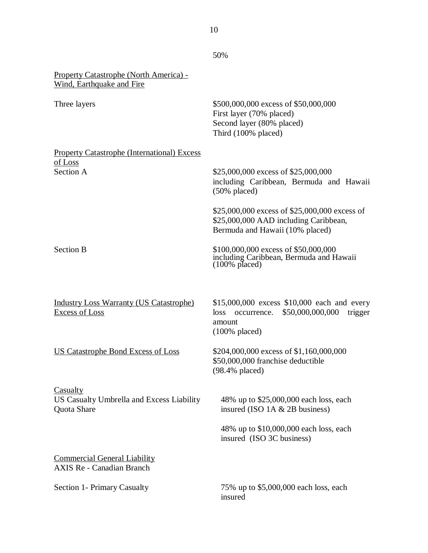|                                                                             | 50%                                                                                                                             |
|-----------------------------------------------------------------------------|---------------------------------------------------------------------------------------------------------------------------------|
| <b>Property Catastrophe (North America) -</b><br>Wind, Earthquake and Fire  |                                                                                                                                 |
| Three layers                                                                | \$500,000,000 excess of \$50,000,000<br>First layer (70% placed)<br>Second layer (80% placed)<br>Third (100% placed)            |
| <b>Property Catastrophe (International) Excess</b>                          |                                                                                                                                 |
| <u>of Loss</u><br><b>Section A</b>                                          | \$25,000,000 excess of \$25,000,000<br>including Caribbean, Bermuda and Hawaii<br>$(50\%$ placed)                               |
|                                                                             | \$25,000,000 excess of \$25,000,000 excess of<br>\$25,000,000 AAD including Caribbean,<br>Bermuda and Hawaii (10% placed)       |
| <b>Section B</b>                                                            | \$100,000,000 excess of \$50,000,000<br>including Caribbean, Bermuda and Hawaii<br>(100% placed)                                |
| <b>Industry Loss Warranty (US Catastrophe)</b><br><b>Excess of Loss</b>     | \$15,000,000 excess \$10,000 each and every<br>\$50,000,000,000<br>loss<br>occurrence.<br>trigger<br>amount<br>$(100\%$ placed) |
| <b>US Catastrophe Bond Excess of Loss</b>                                   | \$204,000,000 excess of \$1,160,000,000<br>\$50,000,000 franchise deductible<br>(98.4% placed)                                  |
| <b>Casualty</b><br>US Casualty Umbrella and Excess Liability<br>Quota Share | 48% up to \$25,000,000 each loss, each<br>insured (ISO $1A \& 2B$ business)                                                     |
|                                                                             | 48% up to \$10,000,000 each loss, each<br>insured (ISO 3C business)                                                             |
| <b>Commercial General Liability</b><br><b>AXIS Re - Canadian Branch</b>     |                                                                                                                                 |
| <b>Section 1- Primary Casualty</b>                                          | 75% up to \$5,000,000 each loss, each<br>insured                                                                                |

10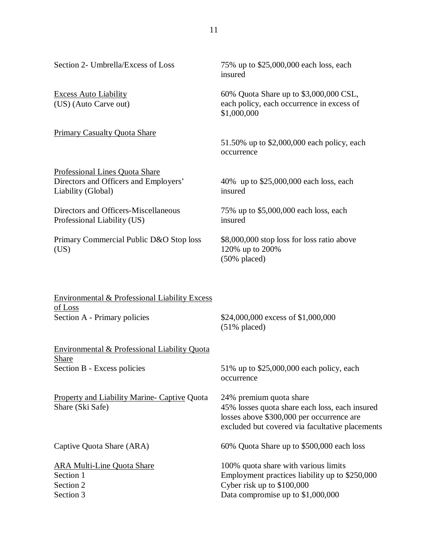| Section 2- Umbrella/Excess of Loss                                                                   | 75% up to \$25,000,000 each loss, each<br>insured                                                                                                                         |
|------------------------------------------------------------------------------------------------------|---------------------------------------------------------------------------------------------------------------------------------------------------------------------------|
| <b>Excess Auto Liability</b><br>(US) (Auto Carve out)                                                | 60% Quota Share up to \$3,000,000 CSL,<br>each policy, each occurrence in excess of<br>\$1,000,000                                                                        |
| Primary Casualty Quota Share                                                                         | 51.50% up to \$2,000,000 each policy, each<br>occurrence                                                                                                                  |
| <b>Professional Lines Quota Share</b><br>Directors and Officers and Employers'<br>Liability (Global) | 40% up to \$25,000,000 each loss, each<br>insured                                                                                                                         |
| Directors and Officers-Miscellaneous<br>Professional Liability (US)                                  | 75% up to \$5,000,000 each loss, each<br>insured                                                                                                                          |
| Primary Commercial Public D&O Stop loss<br>(US)                                                      | \$8,000,000 stop loss for loss ratio above<br>120% up to 200%<br>$(50\%$ placed)                                                                                          |
| <b>Environmental &amp; Professional Liability Excess</b><br>of Loss<br>Section A - Primary policies  | \$24,000,000 excess of \$1,000,000<br>$(51\%$ placed)                                                                                                                     |
| Environmental & Professional Liability Quota                                                         |                                                                                                                                                                           |
| <b>Share</b><br>Section B - Excess policies                                                          | 51% up to \$25,000,000 each policy, each<br>occurrence                                                                                                                    |
| <b>Property and Liability Marine- Captive Quota</b><br>Share (Ski Safe)                              | 24% premium quota share<br>45% losses quota share each loss, each insured<br>losses above \$300,000 per occurrence are<br>excluded but covered via facultative placements |
| Captive Quota Share (ARA)                                                                            | 60% Quota Share up to \$500,000 each loss                                                                                                                                 |
| <b>ARA Multi-Line Quota Share</b><br>Section 1<br>Section 2<br>Section 3                             | 100% quota share with various limits<br>Employment practices liability up to \$250,000<br>Cyber risk up to \$100,000<br>Data compromise up to \$1,000,000                 |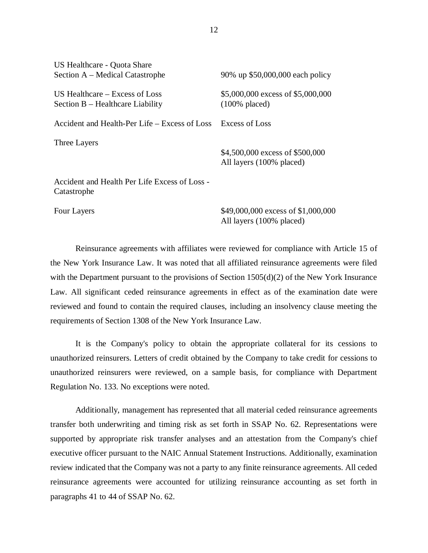| US Healthcare - Quota Share<br>Section A – Medical Catastrophe       | 90% up \$50,000,000 each policy                             |
|----------------------------------------------------------------------|-------------------------------------------------------------|
| US Healthcare $-$ Excess of Loss<br>Section B – Healthcare Liability | \$5,000,000 excess of \$5,000,000<br>$(100\%$ placed)       |
| Accident and Health-Per Life – Excess of Loss                        | <b>Excess of Loss</b>                                       |
| Three Layers                                                         | \$4,500,000 excess of \$500,000<br>All layers (100% placed) |
| Accident and Health Per Life Excess of Loss -<br>Catastrophe         |                                                             |
| Four Layers                                                          | \$49,000,000 excess of \$1,000,000                          |

Reinsurance agreements with affiliates were reviewed for compliance with Article 15 of the New York Insurance Law. It was noted that all affiliated reinsurance agreements were filed with the Department pursuant to the provisions of Section 1505(d)(2) of the New York Insurance Law. All significant ceded reinsurance agreements in effect as of the examination date were reviewed and found to contain the required clauses, including an insolvency clause meeting the requirements of Section 1308 of the New York Insurance Law.

All layers (100% placed)

It is the Company's policy to obtain the appropriate collateral for its cessions to unauthorized reinsurers. Letters of credit obtained by the Company to take credit for cessions to unauthorized reinsurers were reviewed, on a sample basis, for compliance with Department Regulation No. 133. No exceptions were noted.

Additionally, management has represented that all material ceded reinsurance agreements transfer both underwriting and timing risk as set forth in SSAP No. 62. Representations were supported by appropriate risk transfer analyses and an attestation from the Company's chief executive officer pursuant to the NAIC Annual Statement Instructions. Additionally, examination review indicated that the Company was not a party to any finite reinsurance agreements. All ceded reinsurance agreements were accounted for utilizing reinsurance accounting as set forth in paragraphs 41 to 44 of SSAP No. 62.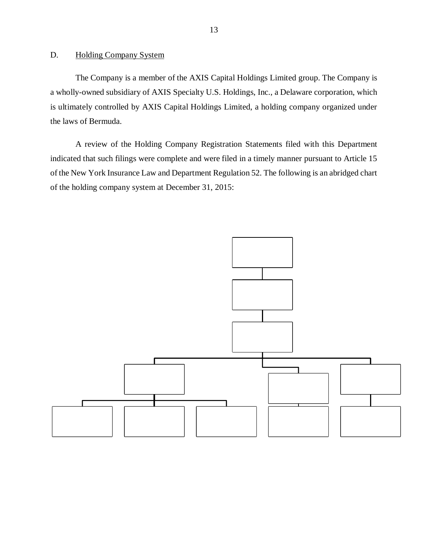### <span id="page-14-0"></span>D. Holding Company System

The Company is a member of the AXIS Capital Holdings Limited group. The Company is a wholly-owned subsidiary of AXIS Specialty U.S. Holdings, Inc., a Delaware corporation, which is ultimately controlled by AXIS Capital Holdings Limited, a holding company organized under the laws of Bermuda.

A review of the Holding Company Registration Statements filed with this Department indicated that such filings were complete and were filed in a timely manner pursuant to Article 15 of the New York Insurance Law and Department Regulation 52. The following is an abridged chart of the holding company system at December 31, 2015:

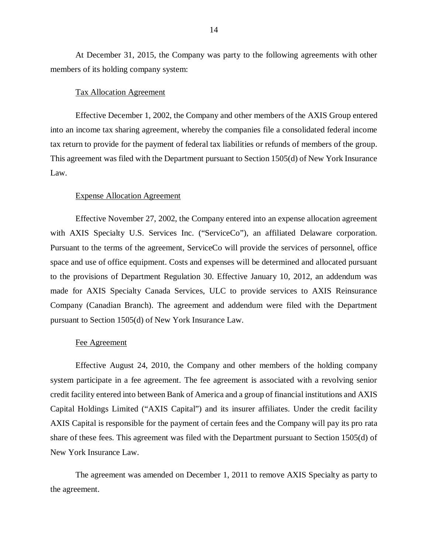At December 31, 2015, the Company was party to the following agreements with other members of its holding company system:

#### Tax Allocation Agreement

Effective December 1, 2002, the Company and other members of the AXIS Group entered into an income tax sharing agreement, whereby the companies file a consolidated federal income tax return to provide for the payment of federal tax liabilities or refunds of members of the group. This agreement was filed with the Department pursuant to Section 1505(d) of New York Insurance Law.

#### Expense Allocation Agreement

Effective November 27, 2002, the Company entered into an expense allocation agreement with AXIS Specialty U.S. Services Inc. ("ServiceCo"), an affiliated Delaware corporation. Pursuant to the terms of the agreement, ServiceCo will provide the services of personnel, office space and use of office equipment. Costs and expenses will be determined and allocated pursuant to the provisions of Department Regulation 30. Effective January 10, 2012, an addendum was made for AXIS Specialty Canada Services, ULC to provide services to AXIS Reinsurance Company (Canadian Branch). The agreement and addendum were filed with the Department pursuant to Section 1505(d) of New York Insurance Law.

#### Fee Agreement

Effective August 24, 2010, the Company and other members of the holding company system participate in a fee agreement. The fee agreement is associated with a revolving senior credit facility entered into between Bank of America and a group of financial institutions and AXIS Capital Holdings Limited ("AXIS Capital") and its insurer affiliates. Under the credit facility AXIS Capital is responsible for the payment of certain fees and the Company will pay its pro rata share of these fees. This agreement was filed with the Department pursuant to Section 1505(d) of New York Insurance Law.

The agreement was amended on December 1, 2011 to remove AXIS Specialty as party to the agreement.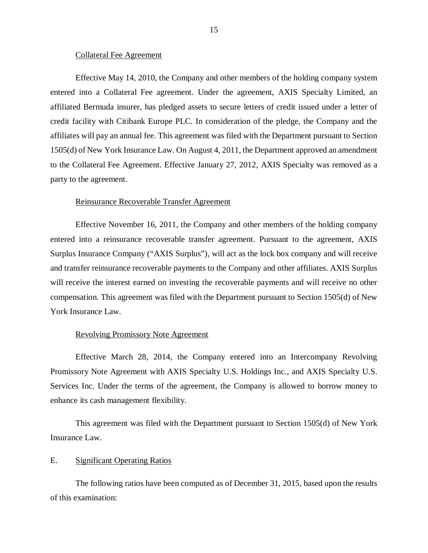#### Collateral Fee Agreement

<span id="page-16-0"></span>Effective May 14, 2010, the Company and other members of the holding company system entered into a Collateral Fee agreement. Under the agreement, AXIS Specialty Limited, an affiliated Bermuda insurer, has pledged assets to secure letters of credit issued under a letter of credit facility with Citibank Europe PLC. In consideration of the pledge, the Company and the affiliates will pay an annual fee. This agreement was filed with the Department pursuant to Section 1505(d) of New York Insurance Law. On August 4, 2011, the Department approved an amendment to the Collateral Fee Agreement. Effective January 27, 2012, AXIS Specialty was removed as a party to the agreement.

#### Reinsurance Recoverable Transfer Agreement

Effective November 16, 2011, the Company and other members of the holding company entered into a reinsurance recoverable transfer agreement. Pursuant to the agreement, AXIS Surplus Insurance Company ("AXIS Surplus"), will act as the lock box company and will receive and transfer reinsurance recoverable payments to the Company and other affiliates. AXIS Surplus will receive the interest earned on investing the recoverable payments and will receive no other compensation. This agreement was filed with the Department pursuant to Section 1505(d) of New York Insurance Law.

#### Revolving Promissory Note Agreement

Effective March 28, 2014, the Company entered into an Intercompany Revolving Promissory Note Agreement with AXIS Specialty U.S. Holdings Inc., and AXIS Specialty U.S. Services Inc. Under the terms of the agreement, the Company is allowed to borrow money to enhance its cash management flexibility.

This agreement was filed with the Department pursuant to Section 1505(d) of New York Insurance Law.

#### E. Significant Operating Ratios

The following ratios have been computed as of December 31, 2015, based upon the results of this examination: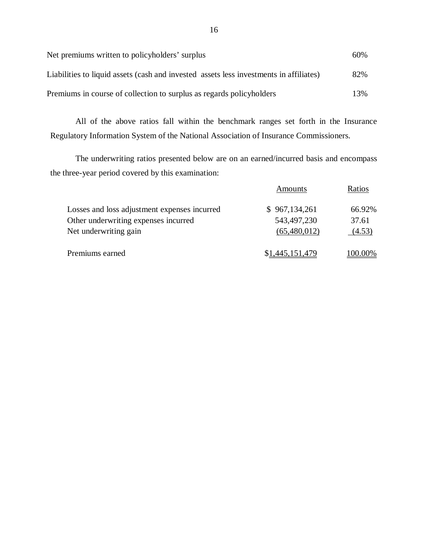| Net premiums written to policyholders' surplus                                         | 60% |
|----------------------------------------------------------------------------------------|-----|
| Liabilities to liquid assets (cash and invested assets less investments in affiliates) | 82% |
| Premiums in course of collection to surplus as regards policyholders                   | 13% |

All of the above ratios fall within the benchmark ranges set forth in the Insurance Regulatory Information System of the National Association of Insurance Commissioners.

The underwriting ratios presented below are on an earned/incurred basis and encompass the three-year period covered by this examination:

|                                              | Amounts         | Ratios  |
|----------------------------------------------|-----------------|---------|
| Losses and loss adjustment expenses incurred | \$967,134,261   | 66.92%  |
| Other underwriting expenses incurred         | 543,497,230     | 37.61   |
| Net underwriting gain                        | (65,480,012)    | (4.53)  |
| Premiums earned                              | \$1,445,151,479 | 100.00% |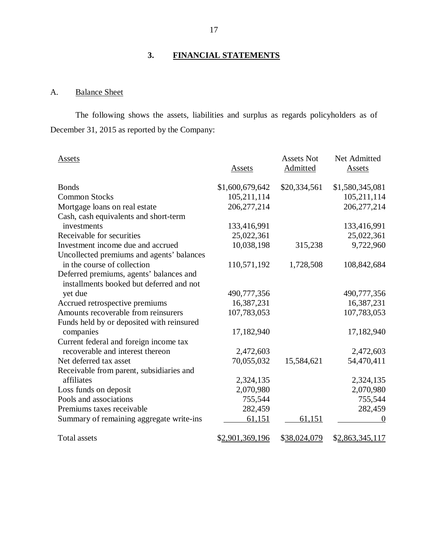# **3. FINANCIAL STATEMENTS**

### A. Balance Sheet

The following shows the assets, liabilities and surplus as regards policyholders as of December 31, 2015 as reported by the Company:

| Assets                                    | Assets          | <b>Assets Not</b><br>Admitted | Net Admitted<br><u>Assets</u> |
|-------------------------------------------|-----------------|-------------------------------|-------------------------------|
| <b>Bonds</b>                              | \$1,600,679,642 | \$20,334,561                  | \$1,580,345,081               |
| <b>Common Stocks</b>                      | 105,211,114     |                               | 105,211,114                   |
| Mortgage loans on real estate             | 206, 277, 214   |                               | 206, 277, 214                 |
| Cash, cash equivalents and short-term     |                 |                               |                               |
| investments                               | 133,416,991     |                               | 133,416,991                   |
| Receivable for securities                 | 25,022,361      |                               | 25,022,361                    |
| Investment income due and accrued         | 10,038,198      | 315,238                       | 9,722,960                     |
| Uncollected premiums and agents' balances |                 |                               |                               |
| in the course of collection               | 110,571,192     | 1,728,508                     | 108,842,684                   |
| Deferred premiums, agents' balances and   |                 |                               |                               |
| installments booked but deferred and not  |                 |                               |                               |
| yet due                                   | 490,777,356     |                               | 490,777,356                   |
| Accrued retrospective premiums            | 16,387,231      |                               | 16,387,231                    |
| Amounts recoverable from reinsurers       | 107,783,053     |                               | 107,783,053                   |
| Funds held by or deposited with reinsured |                 |                               |                               |
| companies                                 | 17,182,940      |                               | 17,182,940                    |
| Current federal and foreign income tax    |                 |                               |                               |
| recoverable and interest thereon          | 2,472,603       |                               | 2,472,603                     |
| Net deferred tax asset                    | 70,055,032      | 15,584,621                    | 54,470,411                    |
| Receivable from parent, subsidiaries and  |                 |                               |                               |
| affiliates                                | 2,324,135       |                               | 2,324,135                     |
| Loss funds on deposit                     | 2,070,980       |                               | 2,070,980                     |
| Pools and associations                    | 755,544         |                               | 755,544                       |
| Premiums taxes receivable                 | 282,459         |                               | 282,459                       |
| Summary of remaining aggregate write-ins  | 61,151          | 61,151                        |                               |
| <b>Total assets</b>                       | \$2,901,369,196 | \$38,024,079                  | \$2,863,345,117               |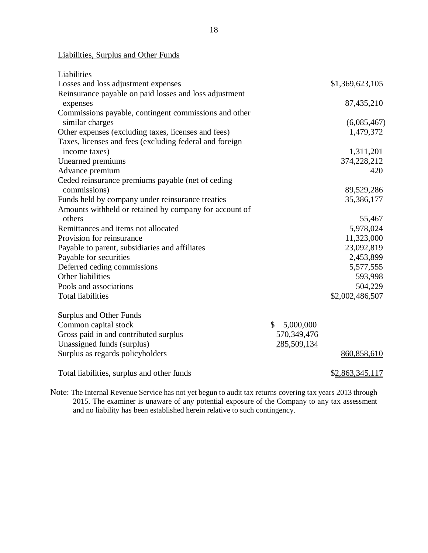Liabilities, Surplus and Other Funds

| Liabilities                                             |                 |                 |
|---------------------------------------------------------|-----------------|-----------------|
| Losses and loss adjustment expenses                     |                 | \$1,369,623,105 |
| Reinsurance payable on paid losses and loss adjustment  |                 |                 |
| expenses                                                |                 | 87,435,210      |
| Commissions payable, contingent commissions and other   |                 |                 |
| similar charges                                         |                 | (6,085,467)     |
| Other expenses (excluding taxes, licenses and fees)     |                 | 1,479,372       |
| Taxes, licenses and fees (excluding federal and foreign |                 |                 |
| income taxes)                                           |                 | 1,311,201       |
| Unearned premiums                                       |                 | 374,228,212     |
| Advance premium                                         |                 | 420             |
| Ceded reinsurance premiums payable (net of ceding       |                 |                 |
| commissions)                                            |                 | 89,529,286      |
| Funds held by company under reinsurance treaties        |                 | 35,386,177      |
| Amounts withheld or retained by company for account of  |                 |                 |
| others                                                  |                 | 55,467          |
| Remittances and items not allocated                     |                 | 5,978,024       |
| Provision for reinsurance                               |                 | 11,323,000      |
| Payable to parent, subsidiaries and affiliates          |                 | 23,092,819      |
| Payable for securities                                  |                 | 2,453,899       |
| Deferred ceding commissions                             |                 | 5,577,555       |
| Other liabilities                                       |                 | 593,998         |
| Pools and associations                                  |                 | 504,229         |
| <b>Total liabilities</b>                                |                 | \$2,002,486,507 |
| <b>Surplus and Other Funds</b>                          |                 |                 |
| Common capital stock                                    | \$<br>5,000,000 |                 |
| Gross paid in and contributed surplus                   | 570,349,476     |                 |
| Unassigned funds (surplus)                              | 285,509,134     |                 |
| Surplus as regards policyholders                        |                 | 860,858,610     |
|                                                         |                 |                 |
| Total liabilities, surplus and other funds              |                 | \$2,863,345,117 |

Note: The Internal Revenue Service has not yet begun to audit tax returns covering tax years 2013 through 2015. The examiner is unaware of any potential exposure of the Company to any tax assessment and no liability has been established herein relative to such contingency.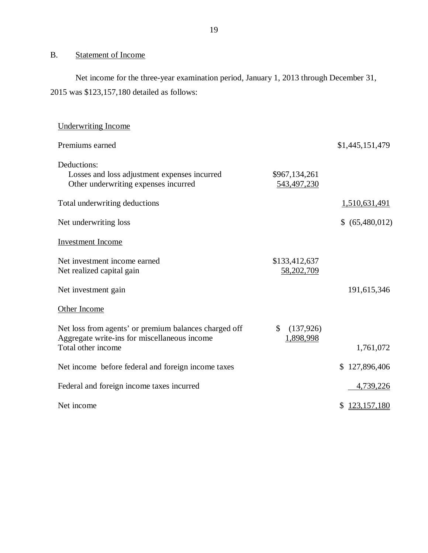# <span id="page-20-0"></span>B. Statement of Income

Net income for the three-year examination period, January 1, 2013 through December 31, 2015 was \$123,157,180 detailed as follows:

| <b>Underwriting Income</b>                                                                                                  |                               |                     |
|-----------------------------------------------------------------------------------------------------------------------------|-------------------------------|---------------------|
| Premiums earned                                                                                                             |                               | \$1,445,151,479     |
| Deductions:<br>Losses and loss adjustment expenses incurred<br>Other underwriting expenses incurred                         | \$967,134,261<br>543,497,230  |                     |
| Total underwriting deductions                                                                                               |                               | 1,510,631,491       |
| Net underwriting loss                                                                                                       |                               | \$ (65,480,012)     |
| <b>Investment Income</b>                                                                                                    |                               |                     |
| Net investment income earned<br>Net realized capital gain                                                                   | \$133,412,637<br>58,202,709   |                     |
| Net investment gain                                                                                                         |                               | 191,615,346         |
| Other Income                                                                                                                |                               |                     |
| Net loss from agents' or premium balances charged off<br>Aggregate write-ins for miscellaneous income<br>Total other income | \$<br>(137, 926)<br>1,898,998 | 1,761,072           |
| Net income before federal and foreign income taxes                                                                          |                               | \$127,896,406       |
|                                                                                                                             |                               |                     |
| Federal and foreign income taxes incurred                                                                                   |                               | 4,739,226           |
| Net income                                                                                                                  |                               | 123, 157, 180<br>\$ |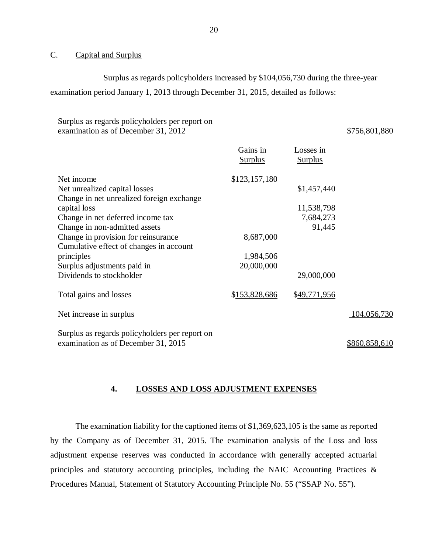### C. Capital and Surplus

Surplus as regards policyholders increased by \$104,056,730 during the three-year examination period January 1, 2013 through December 31, 2015, detailed as follows:

### Surplus as regards policyholders per report on examination as of December 31, 2012 \$756,801,880

|                                                                                       | Gains in<br><b>Surplus</b> | Losses in<br><b>Surplus</b> |               |
|---------------------------------------------------------------------------------------|----------------------------|-----------------------------|---------------|
| Net income                                                                            | \$123,157,180              |                             |               |
| Net unrealized capital losses                                                         |                            | \$1,457,440                 |               |
| Change in net unrealized foreign exchange                                             |                            |                             |               |
| capital loss                                                                          |                            | 11,538,798                  |               |
| Change in net deferred income tax                                                     |                            | 7,684,273                   |               |
| Change in non-admitted assets                                                         |                            | 91,445                      |               |
| Change in provision for reinsurance                                                   | 8,687,000                  |                             |               |
| Cumulative effect of changes in account                                               |                            |                             |               |
| principles                                                                            | 1,984,506                  |                             |               |
| Surplus adjustments paid in                                                           | 20,000,000                 |                             |               |
| Dividends to stockholder                                                              |                            | 29,000,000                  |               |
| Total gains and losses                                                                | \$153,828,686              | \$49,771,956                |               |
| Net increase in surplus                                                               |                            |                             | 104,056,730   |
| Surplus as regards policyholders per report on<br>examination as of December 31, 2015 |                            |                             | \$860,858,610 |

### **4. LOSSES AND LOSS ADJUSTMENT EXPENSES**

The examination liability for the captioned items of \$1,369,623,105 is the same as reported by the Company as of December 31, 2015. The examination analysis of the Loss and loss adjustment expense reserves was conducted in accordance with generally accepted actuarial principles and statutory accounting principles, including the NAIC Accounting Practices & Procedures Manual, Statement of Statutory Accounting Principle No. 55 ("SSAP No. 55").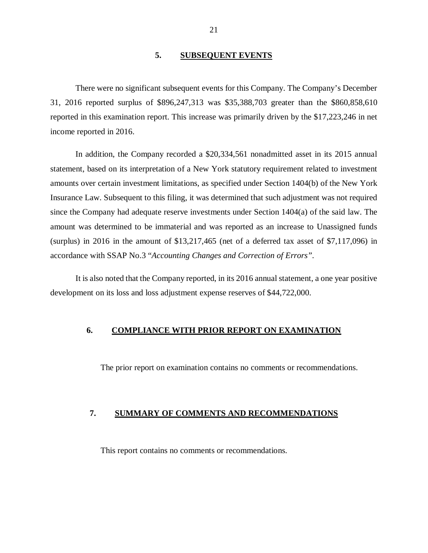### **5. SUBSEQUENT EVENTS**

<span id="page-22-0"></span>There were no significant subsequent events for this Company. The Company's December 31, 2016 reported surplus of \$896,247,313 was \$35,388,703 greater than the \$860,858,610 reported in this examination report. This increase was primarily driven by the \$17,223,246 in net income reported in 2016.

In addition, the Company recorded a \$20,334,561 nonadmitted asset in its 2015 annual statement, based on its interpretation of a New York statutory requirement related to investment amounts over certain investment limitations, as specified under Section 1404(b) of the New York Insurance Law. Subsequent to this filing, it was determined that such adjustment was not required since the Company had adequate reserve investments under Section 1404(a) of the said law. The amount was determined to be immaterial and was reported as an increase to Unassigned funds (surplus) in 2016 in the amount of \$13,217,465 (net of a deferred tax asset of \$7,117,096) in accordance with SSAP No.3 "*Accounting Changes and Correction of Errors".* 

It is also noted that the Company reported, in its 2016 annual statement, a one year positive development on its loss and loss adjustment expense reserves of \$44,722,000.

### **6. COMPLIANCE WITH PRIOR REPORT ON EXAMINATION**

The prior report on examination contains no comments or recommendations.

### **7. SUMMARY OF COMMENTS AND RECOMMENDATIONS**

This report contains no comments or recommendations.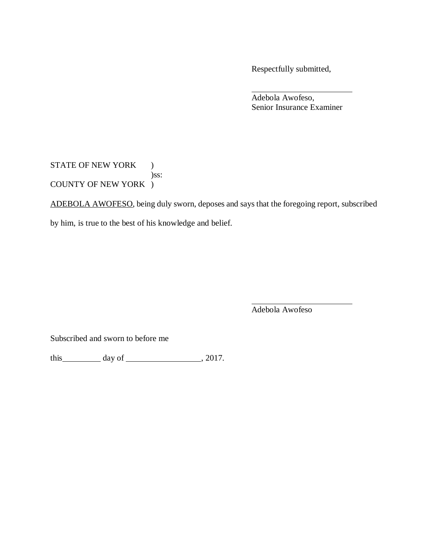Respectfully submitted,

Adebola Awofeso, Senior Insurance Examiner

STATE OF NEW YORK ) )ss: COUNTY OF NEW YORK )

ADEBOLA AWOFESO, being duly sworn, deposes and says that the foregoing report, subscribed

by him, is true to the best of his knowledge and belief.

Adebola Awofeso

Subscribed and sworn to before me

this  $\_\_\_\_\_$  day of  $\_\_\_\_\_\_$ , 2017.